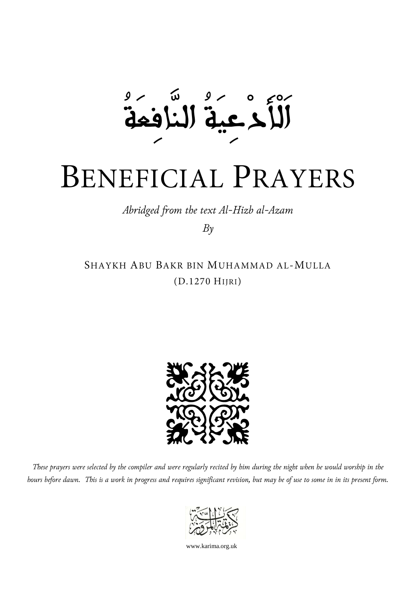$50/$ ໌ຟ اَلْأَدْعِيَةُ النَّافِعَةُ

## BENEFICIAL PRAYERS

*Abridged from the text Al-Hizb al-Azam*

*By*

SHAYKH ABU BAKR BIN MUHAMMAD AL-MULLA (D.1270 HIJRI)



*These prayers were selected by the compiler and were regularly recited by him during the night when he would worship in the hours before dawn. This is a work in progress and requires significant revision, but may be of use to some in in its present form.*



www.karima.org.uk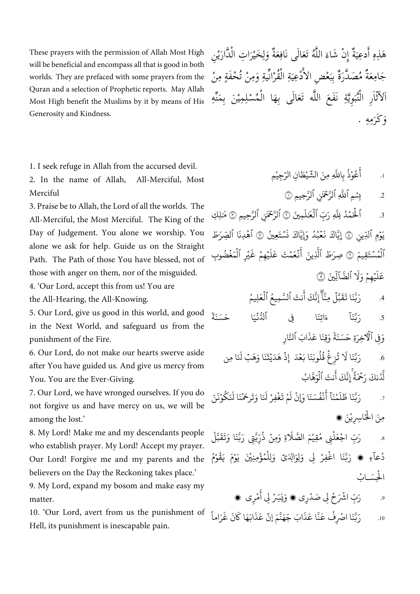These prayers with the permission of Allah Most High will be beneficial and encompass all that is good in both worlds. They are prefaced with some prayers from the Quran and a selection of Prophetic reports. May Allah Most High benefit the Muslims by it by means of His Generosity and Kindness.

1. I seek refuge in Allah from the accursed devil.

2. In the name of Allah, All-Merciful, Most Merciful

3. Praise be to Allah, the Lord of all the worlds. The All-Merciful, the Most Merciful. The King of the Day of Judgement. You alone we worship. You alone we ask for help. Guide us on the Straight Path. The Path of those You have blessed, not of those with anger on them, nor of the misguided.

4. 'Our Lord, accept this from us! You are the All-Hearing, the All-Knowing.

5. Our Lord, give us good in this world, and good in the Next World, and safeguard us from the punishment of the Fire.

6. Our Lord, do not make our hearts swerve aside after You have guided us. And give us mercy from You. You are the Ever-Giving.

7. Our Lord, we have wronged ourselves. If you do not forgive us and have mercy on us, we will be among the lost.'

8. My Lord! Make me and my descendants people who establish prayer. My Lord! Accept my prayer. Our Lord! Forgive me and my parents and the believers on the Day the Reckoning takes place.'

9. My Lord, expand my bosom and make easy my matter.

10. 'Our Lord, avert from us the punishment of Hell, its punishment is inescapable pain.

هَذِهِ أَدعِيَةٌ إِنْ شَاءَ اللَّهُ تَعَالَى نَافِعَةٌ وَلِخَيْرَاتِ الْذَّارَيْنِ ہ<br>یو ن<br>پ ْ أ َ ِ ل َ ๎๎๎๎๎๎๎๎๎๎๎๎๎๎๎๎๎๎๎๎ ِ ُ<br>ء ن<br>أ ة<br>م  $\frac{1}{2}$ ي َ أ ِ جَامِعَةٌ مُصَدَّرَةٌ بِبَعْضِ الأَدْعِيَةِ الْقُرْانِّيةِ وَمِنْ تُحْفَةٍ مِنْ ن<br>ا ُ<br>ء ْ  $\tilde{\mathbf{r}}$ ي م<br>ا بر<br>نہ اَلآثَاَرِ الْنُّبَوِيَّةِ نَفَعَ اللَّه تَعَالَى بِهَا الْمُسْلِمِيْنَ بِمَنِّهِ ْ ُ<br>ء ٌ<br>ل  $\frac{1}{2}$ ىن<br>م ْ . هِ َمِ َكر و َ

> <sub>1.</sub> أَعُوْذُ بِاللَّهِ ر<br>وفيات ْ ر<br>م ِ<br>په أَعُوْذُ بِاللَّهِ مِنَ الشَّيْطَانِ الرَّجِيْمِ ْ ؚ<u>ؙ</u>

> > 2. بِسْمِ ٱللَّهِ ٱلرَّحْمَٰنِ ٱلرَّحِيمِ ۞

.3 ِمنيَ َ اْلْحَمْدُ لِلَّهِ رَبِّ ٱلْعَلَمِينَ ۞ ٱلرَّحْمَنِ ٱلرَّحِيمِ ۞ مَلِكِ َٰ ح ُ ح د<br>آ َٰ يَوْمِ ٱلَّذِينِ ۞ إِيَّاكَ نَعۡبُدُ وَإِيَّاكَ نَسۡتَعِينُ ح إِيَّاكَ نَعْبُدُ وَإِيَّاكَ نَسْتَعِينُ ۞ ٱهْدِنَا ٱلصِّرَطَ ن اد<br>ا ُ ح ح ح الْمُسۡتَقِيمَ ۞ صِرَٰطَ ٱلَّذِينَ ح صِرَطَ ٱلَّذِينَ أَنْعَمْتَ ح ح َ<br>بِمَ أَنْعَمْتَ عَلَيْهِمْ غَيْرِ ٱلْمَغْضُوبِ ح ہ<br>1 ح  $\ddot{\cdot}$ يُهِمْ غُـ ح ح  $\tilde{1}$ عَلَ ح ِ ه ط ح  $\tilde{1}$ عَلَيۡهِمۡ وَلَا ٱلضَّآلِّينَ ٓال ٱَضَ َ وَلَا ٱلضَّآلِّينَ ۞

> 4. رَبَّنَا تَقَبَّلْ مِنَّأَۖ إِنَّكَ أَنتَ ٱلسَّمِيعُ ٱلْعَ ح ہ<br>آ ر<br>م أ  $\frac{1}{1}$ مِنَّأٌ إِنَّكَ أَنتَ ٱلسَّمِيعُ ٱلْعَلِيمُ ُ

.5 ة َ ن سَ َ ا ح و<br>ئادىيە .<br>. ا ِِف ٱل َ شتِن َ ء  $\tilde{1}$ رَبَّنَا  $\ddot{=}$ وَفِي ٱلْٱخِرَةِ حَسَنَةً وَقِنَا عَذَابَ ٱلنَّارِ ذ َ ا ع َ قِن َ و

Į.

ا<br>آ

.6 تُزِغُ قُلُوبَنَا بَعْدَ .<br>∙ ُ ؚ ح  $\ddot{\cdot}$  $\tilde{1}$ رَبَّنَا لَا تُزِغُ قُلُوبَنَا بَعْدَ ۚ إِذْ هَدَيْتَنَا وَهَبۡ لَنَا مِن إِذْ هَدَيْتَنَا وَهَبْ لَذَ ح ح إِنَّكَ أَنتَ ٱلْوَهَّابُ ح أ  $\ddot{\phantom{0}}$ .<br>لَّدُنكَ رَحْمَةً ر<br>سا ل

.7 رَبَّنَا ظَ  $\tilde{1}$ لَمْنَا ا<br>ا َ<br>په أَنْفُسَنَا وَإِ ْ ُ ً<br>آ َ ْ نْ لَمْ تَغْفِرْ لَدَ <u>ٔ</u> ْ رْ لَنَا وَتَرحَمْنَا لَدَ ْ ا لَنَكُوْنَنّ ر<br>م ْ مِنَ الْخَاسِرِيْنَ ک **ٔ** 

.8 رَبِّ اجْعَلْنِی مُقِیْمَ الصَّ ؚ<br>ٔ ؚ<br>ا ر<br>د ا<br>ا ِ<br>آ َلَاةِ وَمِنْ ذُرِّيَّتِى رَبَّنَا وَتَقَبَّلْ ُ ْ ْ ر<br>د دُعآءِ ، رَبَّنَا اغْفِرْ لِي وَلِوَالِدَىّ وَلِلْمُؤْمِنِيْنَ يَوْمَ يَقُوْمُ ا<br>ا ا<br>ا ْ ُ ْ **ٔ** ِ **ٔ** ر<br>و الْحِسَابُ ا<br>ا

> .9 رَبِّ اشْرَحْ لِي صَدْرِي ، وَيَسِّرْ لِي أَ <u>ّ</u> ا<br>ا ي ْ أ ؚ<br>ا مْرِي ۾

.10 رَبَّنَا اصْرِفْ عَنَّا عَ ْ  $\ddot{\cdot}$ ِ<br>ذَابَ جَهَنَّمَ إِنَّ عَـ  $\ddot{\cdot}$ ذ َ شب َ ه ً<br>ئىم ا ك  $\ddot{\cdot}$ نَ غَرَ شنا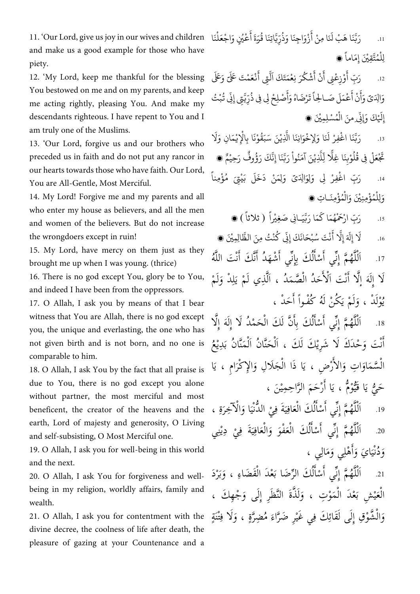11. 'Our Lord, give us joy in our wives and children and make us a good example for those who have piety.

12. 'My Lord, keep me thankful for the blessing You bestowed on me and on my parents, and keep me acting rightly, pleasing You. And make my descendants righteous. I have repent to You and I am truly one of the Muslims.

13. 'Our Lord, forgive us and our brothers who preceded us in faith and do not put any rancor in our hearts towards those who have faith. Our Lord, You are All-Gentle, Most Merciful.

14. My Lord! Forgive me and my parents and all who enter my house as believers, and all the men and women of the believers. But do not increase the wrongdoers except in ruin!

15. My Lord, have mercy on them just as they brought me up when I was young. (thrice)

16. There is no god except You, glory be to You, and indeed I have been from the oppressors.

17. O Allah, I ask you by means of that I bear witness that You are Allah, there is no god except you, the unique and everlasting, the one who has not given birth and is not born, and no one is comparable to him.

18. O Allah, I ask You by the fact that all praise is due to You, there is no god except you alone without partner, the most merciful and most beneficent, the creator of the heavens and the earth, Lord of majesty and generosity, O Living and self-subsisting, O Most Merciful one.

19. O Allah, I ask you for well-being in this world and the next.

20. O Allah, I ask You for forgiveness and wellbeing in my religion, worldly affairs, family and wealth.

21. O Allah, I ask you for contentment with the divine decree, the coolness of life after death, the pleasure of gazing at your Countenance and a

.11 رَبَّنَا هَبْ لَدَ بْ لنَا مِ ْ ر<br>په أ ؚ<br>ا نْ أَزْوَاجِنَا وَذُرِّيَّاتِنَا قُرَ ْ ُمُّ بِهِ ور و ة أُعْيُنٍ وَاجْعَلْنَا أ ؚ<br>; <u>ٔ</u> ْ ڶۣڵٛؽؙؾ<u>ؖٞۊؚۑ۠</u>ۘؗڽؘ ْ ر<br>د ِ ني إ <sup>ن</sup> ، َ انا

.11 رَ بِّ أَوْزِعْنِي أ ْ ؚ<br>ٔ ء<br>ع ۽ أ أ ْ نْ أَشْكُرَ نِعْمَتَ ْ ر<br>م <u>ّ</u> َ كَ َ ش لتِي ِ<br>ع أَنْعَمْتَ عَلَى <sub>وَ</sub>عَلَى ْ ْ وَالِدَىّ وَأَنْ أَ أ أ ؚ<br>ا نْ أَعْمَلَ صَـ ؚ<br>; لَ صَـالِحاً تَـ  $\tilde{1}$ اً تَرْضَاهُ وَأَ **ٔ** ر<br>م ِ<br>په أ ْ صْلِحْ لِي فِي ذُرِّيَّتِي إِذِّ <u>ٔ</u> ُمُّ بِهِ **:** نِّی تُبْتُ ِ<br>پ ْ ِ إ <u>ٔ</u> ً<br>آ لَيْكَ وَإِذِّ **:** نِّي منَ الْمُسْلِمِيْنَ ، ْ ر<br>م ْ

.11 رَبَّنَا اغْفِرْ لَدَ ْ رْ لَنَا وَلِإِخْوَانِنَا الَّذِ ْ <u>ٔ</u> ر<br>آ ا الَّذِيْنَ سَبَقُوْنَا بِالْإِيْمَانِ وَ ا<br>ا ؚ ؚ<br>ا ْ ْ  $\tilde{1}$ َل <u>ا</u>  $\ddot{\cdot}$ تَجْعَلْ فِي قُلُوْبِنَا غِ <u>ا</u>  $\ddot{\cdot}$ ا ْ ا<br>آ ل ِ ْ لِلذِ بر<br>آ لَّذِيْنَ آمَنُواْ رَبَّذَ ا<br>ا ُ ْ نَا إِنَّكَ رَؤُوفٌ رَ و<br>و ِهِ وفٌ رَحِيْمٌ ، .11 رَبِّ اغْفِرْ لِى وَلِوَالِدَىّ وَلِمَنْ دَخَلَ بَ ْ ْ ْ ر<br>آ لَ بَيْتِيَ مُؤْمِ ْ ُ ْ  $\tilde{1}$ نا وَلِلْمُؤْمِنِيْنَ وَالْمُؤْمِنَـاتِ ، ؚ<br>ا ر<br>ر ْ <u>ٔ</u> ُ ْ

> .11 رَبِّ ارْحَمْهُمَ **ٔ** ر<br>ر ً<br>ئىم ا كَمَا رَبَّيَـانِي صَغِيْر<sup>اً</sup> ْ ش ) ثلثا ( ،

 $.16$ ً<br>آ ِ َل إ َ َ لة إِ<br>أ ءَ<br>آ َل ہ<br>ج أ ن س تَ ب َ ح َ ْ ُ ؚ<br>ا انَكَ إِذِّ ْ نِّي كُنْتُ مِنَ الظَّالِمِيْنَ ، ر<br>م ْ

ُه َت ألل َّ َك أ َ ْشَه .71 ُد أ ي أ ِانَك بِ ْسا ي أ م أ ِنَّ ُه أَل س<br>ا نْ أ ن اً بر<br>نو لُ أ أ بر<br>نو ٌ<br>أ ل ْ لَا إِلَهَ إِلَّا أَنْتَ اَلْأَحَدُ الْصَّمَدُ ، اَلَّذِي لَمْ يَلِدْ وَلَمْ لَ َ ِ ل  $\frac{1}{2}$ س<br>ب ْ م<br>أ ْ نْ اً نه<br>کا يُوْلَدْ ، وَلَمْ يَكُنْ لَهُ كُفْواً أَحَدْ ،  $\frac{1}{2}$ لَ َ َ لَ

.71 أ َه أ ِل َح ْمُد لَأ أ ِلَ َك أل ن لَ َّ َ َك بِا ْسا ي أ م أ ِنَّ ُه أَل نة<br>كا ْ لُ َ اً ز تة<br>أ ل ْ تَ وَحْدَكَ لَا شَرِيْكَ لَكَ ، اَلْحَنَّانُ اَلْمَنَّانُ بَدِيْعُ  $\frac{1}{2}$ ْ نة<br>خـ ْ ہ<br>یا نْ َ أ ا  $\frac{1}{2}$ الْسَّمَاوَاتِ وَالأَرْضِ ، يَا ذَا الْجَلَالِ وَالإِكْرَامِ ، يَ َ َ ْ  $\frac{1}{2}$ ء<br>ا َ أ َ ْ حَيُّ يَا قَيُّوْمٌ ، يَا أَرْحَمَ الرَّاحِمِيْنَ ،  $\frac{1}{2}$ ي ن<br>با أ ِّن<br>ز َ ستة<br>أم

19. اَلْلَّهُمَّ إِنِّي أَسْأَلُكَ الْعَافِيَةَ فِيْ الدُّنْيَا وَالْآخِرَةِ ، َ ە<br>ر َ  $\frac{1}{2}$ ْ  $\tilde{\mathbf{r}}$ ي ِ ُ<br>ء لُ أ اً بر<br>نو ٌ<br>ل ل ْ 20. اَلْلَّهُمَّ إِنِّي أَسْأَلُكَ الْعَفْوَ وَالْعَافِيَةَ فِيْ دِيْنِي بنبة ي ْ  $\tilde{\mathbf{r}}$ ي ِ  $\tilde{\bm{z}}$ َ ُ<br>ء لُ َ أ بر<br>نو تة<br>أ ل ْ وَدُنْيَايَ وَأَهْلِي وَمَالِي ،  $\tilde{\lambda}$ اً أ َ ا  $\frac{1}{2}$ 

لُ أ 21. اَلْلَّهُمَّ إِنِّي أَسْأَلُكَ الرِّضَا بَعْدَ الْقَضَاءِ ، وَبَرْدَ أ بر<br>نہ ن<br>أ ة<br>ل ل ْ ب َ ْ الْعَيْشِ بَعْدَ الْمَوْتِ ، وَلَذَّةَ النَّظَرِ إِلَى وَجْهِكَ ، َ ْ ٌ<br>م ي ُ<br>ء وَالْشُّوْقِ إِلَى لَقَائِكَ فِي غَيْرِ ضَرَّاءَ مُضِرَّةٍ ، وَلَا فِتْنَةٍ ِ َ ë ن<br>ز بو<br>م ة<br>م ِّن<br>ز ْ ِ<br>ئ ند<br>ش ْ َ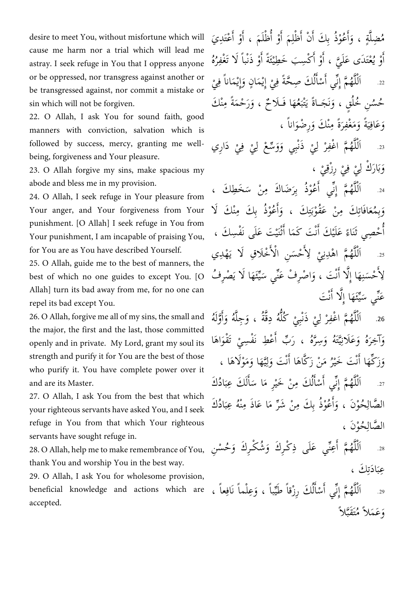desire to meet You, without misfortune which will cause me harm nor a trial which will lead me astray. I seek refuge in You that I oppress anyone or be oppressed, nor transgress against another or be transgressed against, nor commit a mistake or sin which will not be forgiven.

22. O Allah, I ask You for sound faith, good manners with conviction, salvation which is followed by success, mercy, granting me wellbeing, forgiveness and Your pleasure.

23. O Allah forgive my sins, make spacious my abode and bless me in my provision.

24. O Allah, I seek refuge in Your pleasure from Your anger, and Your forgiveness from Your punishment. [O Allah] I seek refuge in You from Your punishment, I am incapable of praising You, for You are as You have described Yourself.

25. O Allah, guide me to the best of manners, the best of which no one guides to except You. [O Allah] turn its bad away from me, for no one can repel its bad except You.

26. O Allah, forgive me all of my sins, the small and the major, the first and the last, those committed openly and in private. My Lord, grant my soul its strength and purify it for You are the best of those who purify it. You have complete power over it and are its Master.

27. O Allah, I ask You from the best that which your righteous servants have asked You, and I seek refuge in You from that which Your righteous servants have sought refuge in.

28. O Allah, help me to make remembrance of You, thank You and worship You in the best way.

29. O Allah, I ask You for wholesome provision, beneficial knowledge and actions which are accepted.

مُضِلَّةٍ ، وَأَعُوْذُ بِكَ أَنْ أَظْلِمَ أَوْ أُظْلَمَ ، أَوْ أَعْتَدِيَ َ اً اً ِ اً أ َ َّ و<br>م وْ يُعْتَدَى عَلَيَّ ، أَوْ أَكْسِبَ خَطِيْئَةً أَوْ ذَنْباً لَا تَغْفِرُهُ اً اً اً أ  $.22$ ۠**ٔ** اَلْلَّهُمَّ إِنِّي أَسْأَلُكَ صِحَّةً فِيْ إِيْمَانٍ وَإِيْمَاناً فِيْ َ ْ نة<br>ح لُ أ اً بر<br>نو ٌ<br>أ ل ْ حُسُنِ خُلُقٍ ، وَنَجَـاةً يَتْبَعُهَا فَـلَاحٌ ، وَرَحْمَةً مِنْكَ  $\frac{1}{2}$ نَ َ ْن وَعَافِيَةً وَمَغْفِرَةً مِنْكَ وَرِضْوَاناً ، .<br>ز َ  $\frac{1}{2}$ ي ِ

.11 َدأرِي ِي ف ِي َ س ْع ل َو َذنْبِي و ِي ر م أ ْغفِ ُه أَل **ٔ ٔ ٔ** ل ْ نہ<br>ا تو<br>ا ل ْ وَبَارَكْ لِيْ فِيْ رِزْقِيْ ، ْ ْ ْ ا<br>ما  $\frac{1}{2}$ ب َ

َخ ِط .11 َك ، ْن س َضا َك مِ ُعْوُذ بِر ي أ م أ ِنَّ ُه أَل  $\tilde{\phantom{a}}$ .<br>ز أ ٌ<br>أ ل ْ وَبِمُعَافَاتِكَ مِنْ عَقُوْبَتِكَ ، وَأَعُوْذُ بِكَ مِنْكَ لَا ِ ت  $\frac{1}{2}$ ِ<br>با ُ<br>ء بِ َ اً أ َ حْصِي ثَنَاءً عَلَيْكَ أَنْتَ كَمَا أَثْنَيْتَ عَلَى نَفْسِكَ ، نْ أ ْ ً اً أ 25. اَلْلَّهُمَّ اهْدِنِيْ لِأَحْسَنِ الْأَخْلَاقِ لَا يَهْدِي م<br>أ ْ م<br>أ ِ ل ْ ْ نہ<br>ا تة<br>أ ل ْ  $\frac{1}{2}$ اً لِأُحْسَنِهَا إِلَّا أَنْتَ ، وَاصْرِفْ عَنِّي سَيِّئَهَا لَا يَصْرِفُ ة<br>لا .<br>ب م<br>أ ِ  $\frac{5}{1}$ ي  $\tilde{\cdot}$ بر<br>م َ نْ  $\frac{1}{2}$ ِ<br>مگ ي عَنّي سَيِّئَهَا إِلّا أُنْتَ بر<br>م نْ َ نة<br>كا

26. اَلْلَّهُمَّ اغْفِرْ لِيْ ذَنْبِيْ كُلُّهُ دِقَّةُ ، وَجِلَّهُ وَأَوَّلَهُ نه<br>م ٌ<br>ل ل ْ ٌ<br>ل ْ ل ْ َ اُ أ َ وَآخِرَهُ وَعَلَانِيَّتَهُ وَسِرَّهُ ، رَبِّ أَعْطِ نَفْسِيْ تَقْوَاهَا َ **ٔ** َ َ ََّت ي ِ،<br>پا زا وَزَكِّهَا أَنْتَ خَيْرُ مَنْ زَكَّاهَا أَنْتَ وَلِيَّهَا وَمَوْلَاهَا ، ي ا ا َ نْ اً ا نْ َ 27. أنَّهُمَّ إِنِّي أَسْأَلُكَ مِبَادُكَ أ اً بر<br>نہ ٌ<br>ل ل  $\tilde{\cdot}$ ب لَ أ آ  $\tilde{\cdot}$  $\tilde{\lambda}$ **ّ** الصَّالِحُوْنَ ، وَأَعُوْذُ بِكَ مِنْ شَرِّ مَا عَاذَ مِنْهُ عِبَادُكَ  $\tilde{\cdot}$ ب ْن ر<br>م ر اُ أ َ ِ ن<br>ب الصَّالِحُوْنَ ، ِ ن<br>ب

َ ُح ْس .18 ِن ُش ْكـِر َك و ْكـِر َك و ني َعَلى ذِ عِ م أ ُه أَل َ بر<br>م أ نہ<br>ا تة<br>أ ل ْ عِبَادَتِكَ ، ِ<br>پ  $\frac{1}{2}$ ب

29. اَلْلَّهُمَّ إِنِّي أَسْأَلُكَ رِزْقاً طَيِّباً ، وَعِلْماً نَافِعاً ،  $\frac{5}{1}$ لُ أ أ بر<br>نو ٌ<br>ل ل ِ وَعَمَلاً مُتَقَبَّلاً نَّة<br>م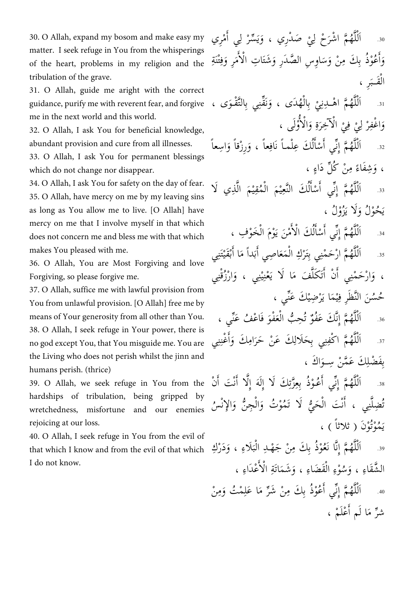30. O Allah, expand my bosom and make easy my matter. I seek refuge in You from the whisperings of the heart, problems in my religion and the tribulation of the grave.

31. O Allah, guide me aright with the correct guidance, purify me with reverent fear, and forgive me in the next world and this world.

32. O Allah, I ask You for beneficial knowledge, abundant provision and cure from all illnesses.

33. O Allah, I ask You for permanent blessings which do not change nor disappear.

34. O Allah, I ask You for safety on the day of fear. 35. O Allah, have mercy on me by my leaving sins as long as You allow me to live. [O Allah] have mercy on me that I involve myself in that which does not concern me and bless me with that which makes You pleased with me.

36. O Allah, You are Most Forgiving and love Forgiving, so please forgive me.

37. O Allah, suffice me with lawful provision from You from unlawful provision. [O Allah] free me by means of Your generosity from all other than You. 38. O Allah, I seek refuge in Your power, there is no god except You, that You misguide me. You are the Living who does not perish whilst the jinn and humans perish. (thrice)

39. O Allah, we seek refuge in You from the hardships of tribulation, being gripped by wretchedness, misfortune and our enemies rejoicing at our loss.

40. O Allah, I seek refuge in You from the evil of that which I know and from the evil of that which I do not know.

ْم .11 ِري ِي أ َ سر َص ْدرِي ، و ِي َ ْح ل م أ ْشر ُه أَل َ ل ْ ي َ ْ نہ<br>ا ٌ<br>أ ل ْ وَأَعُوْذُ بِكَ مِنْ وَسَاوِسِ الصَّدَرِ وَشَتَاتِ الْأُمَرِ وَفِتْنَةِ ٌ<br>⊬  $\tilde{\cdot}$ اً ِ َ  $\tilde{\lambda}$ م<br>ا ە<br>| الْقَـبَرِ ،  $\tilde{\cdot}$ ْ 31. اَلْلَّهُمَّ اهْــدِنِيْ بِالْهُدَى ، وَنَقِّنِي بِالتَّقْـوَى ، َ َ ْ **ٔ** نہ<br>ا ٌ<br>ل ل ْ ْ وَاغْفِرْ لِيْ فِيْ الْآخِرَةِ وَالْأُوُّلَى ، َ أُم ْ َ <u>بن</u> .<br>ز ْ ْ ْ ل ِس .11 عاً َرِ ْزقاً و عاً ، و ْلمـاً نَاف َك عِ ْسا ي أ م أ ِن ُه أَل أ َ ِ لُ أ َ ۔<br>نہ نہ<br>ا تة<br>ك ل ْ ، وَشِفَاءً مِنْ كُلِّ دَاءٍ ، ً َ َّ ِذي لَ .11 أ ْ َم أل ُمقِ ْ َم أل نعِ َك ألَّ ْسا ي أ م أ ِنَّ ُه أَل ي ْ ي لُ أ أ بر<br>نو ٌ<br>أ ل ْ ځوْلُ وَلَا يَزُوْلُ ، َ ي ْس .11 ي أ م أ ِن ُه َخْو ِف أَل ، ْ َ ْوَم أل َن ي ْم أ َك أل أ بر<br>نر نہ<br>ا ة<br>ل ل ْ م<br>ا ْ لُ َ اً 35. اَلْلَّهُمَّ ارْحَمْنِي بِتَرْكِ الْمَعَاصِي أَبَداً مَا أَبْقَيْتَنِي ْ ب َ ر<br>م ب َ ُ<br>ء ْ ْ نہ<br>ا تة<br>ك ل ْ ، وَارْحَمْنِي أَنْ أَتَكَلَّفَ مَا لَا يَعْنِيْنِي ، وَارْزُقْنِي أ َ بنبة ْ ي .<br>ب َ َّ أ َ حُسُنَ النَّظَرِ فِيْمَا يَرْضِيْكَ عَنِّي ، بر<br>م **ّ** ْ ي ِ<br>قِي 36. اَلْلَّهُمَّ إِنَّكَ عَفُوٌ تُحِبُّ الْعَفْوَ فَاعْفُ عَنِّي ، ن<br>ب و<br>تُ وہ<br>گ نه<br>م ٌ<br>ل ل َ ُ<br>ءَ ِ .17 ي َ ْغن َك و أمِ َك َع ْن َحر َحَلال ِي بِ م أ ْكفِ ُه أَل بذ ِ أ َ ا<br>ز ِ ند نہ<br>ا ٌ<br>ل ل ْ بِفَضْلِكَ عَمَّنْ سِـوَاكَ ، َ ِ

38. اَلْلَّهُمَّ ۖ إِنِّي أَعُوْذُ بِعِزَّتِكَ لَا إِلَهَ إِلَّا أَنْتَ أَنْ نْ أ نة<br>كا ِ<br>ئا ِّنْ<br>ز اً <u>۔</u><br>نہ ٌ<br>ل ل ْ تُضِلَّنِي ، أَنْتَ الْحَيُّ لَا تَمُوْتُ وَالْجِنُّ وَالإِنْسُ َ نة<br>-<br>— َ نة<br>يا ْ نْ اً بند ة<br>ل مُوْتُوْنَ ( ثلاثاً ) ،<br>. ي

َ َدْر ِك .19 ، و َلاءِ ِد أل ْن َجْهـ ُ ْوُذ بِ َك مِ ا نَع م أ ِنَّ ُه أَل  $\frac{1}{2}$ ب ْ نَّ<br>ف تة<br>أ ل ْ الشَّقَاءِ ، وَسُوْءِ الْقَضَاءِ ، وَشَمَاتَةِ الْأَعْدَاءِ ، م<br>أ ْ َ ْ ْن .11 َمِ ْم ُت و ا َعل م ْن َشر ُعْوُذ بِ َك مِ ي أ م أ ِنَّ ُه أَل ِ  $\tilde{\lambda}$ ر اُ بر<br>نو ٌ<br>ل ل ْ شرٌ مَا لَم أَعْلَمْ ، اً ز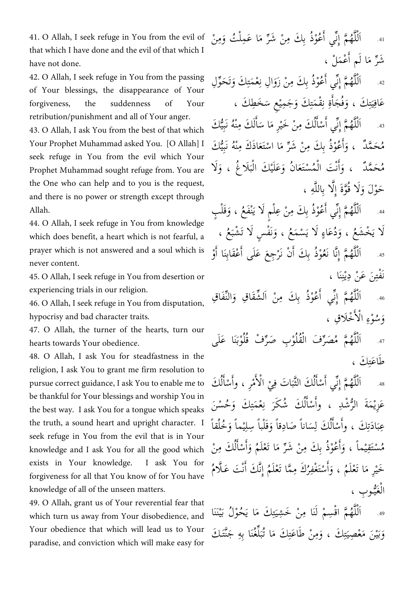41. O Allah, I seek refuge in You from the evil of that which I have done and the evil of that which I have not done.

42. O Allah, I seek refuge in You from the passing of Your blessings, the disappearance of Your forgiveness, the suddenness of Your retribution/punishment and all of Your anger.

43. O Allah, I ask You from the best of that which Your Prophet Muhammad asked You. [O Allah] I seek refuge in You from the evil which Your Prophet Muhammad sought refuge from. You are the One who can help and to you is the request, and there is no power or strength except through Allah.

44. O Allah, I seek refuge in You from knowledge which does benefit, a heart which is not fearful, a prayer which is not answered and a soul which is never content.

45. O Allah, I seek refuge in You from desertion or experiencing trials in our religion.

46. O Allah, I seek refuge in You from disputation, hypocrisy and bad character traits.

47. O Allah, the turner of the hearts, turn our hearts towards Your obedience.

48. O Allah, I ask You for steadfastness in the religion, I ask You to grant me firm resolution to pursue correct guidance, I ask You to enable me to be thankful for Your blessings and worship You in the best way. I ask You for a tongue which speaks the truth, a sound heart and upright character. I seek refuge in You from the evil that is in Your knowledge and I ask You for all the good which exists in Your knowledge. I ask You for forgiveness for all that You know of for You have knowledge of all of the unseen matters.

49. O Allah, grant us of Your reverential fear that which turn us away from Your disobedience, and Your obedience that which will lead us to Your paradise, and conviction which will make easy for 4. اَلْلَّهُمَّ إِنِّي أَعُوْذُ بِكَ مِنْ شَرِّ مَا عَمِلْتُ وَمِنْ ر<br>م ر<br>ز اً بر<br>نو ٌ<br>أ ل شَرٌ مَا لَم أَعْمَلْ ، اً ز ِل .11 َحو َك و َمت ْع أ ِل ن ْن َزو ُعْوُذ بِ َك مِ ي أ م أ ِنَّ ُه أَل دّ َت َ ِ: ِ<br>ن َ اً :<br>نې ٌ<br>أ ل ْ عَافِيَتِكَ ، وَفُجَأَةِ نِقْمَتِكَ وَجَمِيْعِ سَخَطِكَ ،  $\tilde{\cdot}$ ِ ِ ذ ِ أ َ ِ ت  $\frac{1}{2}$ ي ِ  $-43$ ْ اَلْلَّهُمَّ إِنِّي أَسْأَلُكَ مِنْ خَيْرِ مَا سَأَلَكَ مِنْهُ نَبِيُّكَ لُ أ أ بر<br>نو ٌ<br>أ ل نة<br>م ە<br>. لَ َ اً  $\tilde{\phantom{0}}$ َ مُحَمَّدٌ ۚ ، وَأَعُوْذُ بِكَ مِنْ شَرِّ مَا اسْتَعَاذَكَ مِنْهُ نَبِيُّكَ نة<br>بد ْن َ<br>ہ ر<br>م ر<br>ز َ أ َ مُحَمَّدٌ ، وَأَنْتَ الْمُسْتَعَانُ وَعَلَيْكَ الْبَلَاغُ ، وَلَا  $\frac{1}{2}$ ب ْ **ّ** ُ<br>ہ ْ نْ اً أ َ حَوْلَ وَلَا قُوَّةَ إِلَّا بِاللَّهِ ، ن<br>ا نہ<br>کا ىن<br>و َ 4. اَلْلَّهُمَّ إِنِّي أَعُوْذُ بِكَ مِنْ عِلْمٍ لَا يَنْفَعُ ، وَقَلْبٍ اُ بر<br>نہ ٌ<br>ل ل َ  $\frac{1}{2}$ 

لَا يَخْشَعُ ، وَدُعَاءٍ لَا يَسْمَعُ ، وَنَفْسٍ لَا تَشْبَعُ ، َ  $\frac{1}{2}$ ْو .11 َنا أ ْعَقابِ ِج َع َعلَى أ َ ْن نَر ُ ْوُذ بِ َك أ ا نَع م أ ِنَّ ُه أَل اً اً ْ َّ تة<br>أ ل ْ نَفْتِنَ عَنْ دِيْنِنَا ، ِ<br>ب ِ<br>خ ي ِ<br>ب

نَفا ِق .11 أل شَقا ِق و ْن أَل ُعْوُذ بِ َك مِ ي أ م أ ِن ُه أَل َ اً نې نہ<br>ا تة<br>أ ل ْ وَسُوْءِ الْأُخْلَاقِ ، م<br>أ ْ

اَلْلَّهُمَّ مُصَرِّفَ الْقُلُوْبِ صَرِّفْ قُلُوْبَنَا عَلَى .17  $\tilde{\mathbf{r}}$ ر ْ ر نہ<br>ا ٌ<br>ل ل ْ طَاعَتِكَ ، ِ

ْم .18 ِر ، أ أل ِي ا َت ف َك ألث ْسا ي أ م أ ِنَّ ُه أَل َ َك ْسا وأ ء<br>ا ە<br>ر **ٔ**  $\tilde{\cdot}$ ب نة<br>قنا و<br>ل أ اً بر<br>نو ٌ<br>ل ل ْ و<br>ل أ عَزِيْمَةَ الرُّشْدِ ، وأَسْأَلُكَ شُكَرَ نِعْمَتِكَ وَحُسْنَ ِ ِ<br>نِ ذ َ لُ أ اً نة<br>ز عِبَادَتِكَ ، وأَسْأَلُكَ لِسَاناً صَادِقاً وَقَلْباً سِلِيْماً وَخُلُقاً َ ي ِ َ <u>ا</u> لُ أ اً ِ<br>پ  $\frac{1}{2}$ ب مُسْتَقِيْماً ، وَأَعُوْذُ بِكَ مِنْ شَرِّ مَا تَعْلَمُ وَأَسْأَلُكَ مِنْ لُ أ اً أ َ ر<br>م ر<br>ز أ أ َ ي خَيْرِ مَا تَعْلَمُ ، وَأَسْتَغْفِرُكَ مِمَّا تَعْلَمُ إِنَّكَ أَنْتَ عَلَّامُ و<br>ز اً أ َ ر<br>م ْ نْ َ الْغَيُّوبِ ، ن<br>پر ْ

اَلْلَّهُمَّ اقْسِمْ لَنَا مِنْ خَشِيَتِكَ مَا يَحُوْلُ بَيْنَنَا .19 **ّ** ي  $\frac{1}{2}$ ر<br>م ِ ت  $\frac{1}{2}$ نہ<br>ا تو<br>ل ل ْ وَبَيْنَ مَعْصِيَتِكَ ، وَمِنْ طَاعَتِكَ مَا تُبَلِّغُنَا بِهِ جَنَّتَكَ ُسَا تر<br>ما ل  $\frac{1}{2}$ ر<br>م ِ ِ ت  $\frac{1}{2}$ ي  $\frac{1}{2}$ ب َ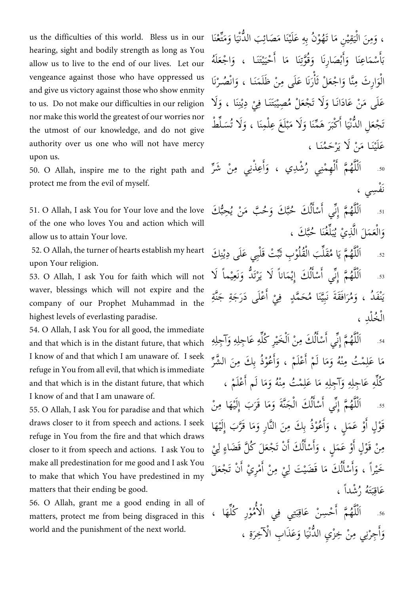us the difficulties of this world. Bless us in our hearing, sight and bodily strength as long as You allow us to live to the end of our lives. Let our vengeance against those who have oppressed us and give us victory against those who show enmity to us. Do not make our difficulties in our religion nor make this world the greatest of our worries nor the utmost of our knowledge, and do not give authority over us one who will not have mercy upon us.

protect me from the evil of myself.

51. O Allah, I ask You for Your love and the love of the one who loves You and action which will allow us to attain Your love.

52. O Allah, the turner of hearts establish my heart upon Your religion.

53. O Allah, I ask You for faith which will not waver, blessings which will not expire and the company of our Prophet Muhammad in the highest levels of everlasting paradise.

54. O Allah, I ask You for all good, the immediate and that which is in the distant future, that which I know of and that which I am unaware of. I seek refuge in You from all evil, that which is immediate and that which is in the distant future, that which I know of and that I am unaware of.

55. O Allah, I ask You for paradise and that which draws closer to it from speech and actions. I seek refuge in You from the fire and that which draws closer to it from speech and actions. I ask You to make all predestination for me good and I ask You to make that which You have predestined in my matters that their ending be good.

56. O Allah, grant me a good ending in all of matters, protect me from being disgraced in this world and the punishment of the next world.

ت ، وَمِنَ الْيَقِيْنِ مَا تَهُوْنُ بِهِ عَلَيْنَا مَصَائِبَ الدُّنْيَا وَمَتِّعْنَا  $\tilde{\mathbf{r}}$ ِ<br>پُ َ **ٔ** ي ي ْ سْمَاعِنَا وَأَبْصَارِنَا وَقُوَّتِنَا مَا أَحْيَيْتَنَا ، وَاجْعَلَهُ لَ ๎๎<br>๎ أ َ ي  $\frac{1}{2}$ اً ِ<br>پا ت ة<br>و َ ب َ أ آ  $\tilde{\mathbf{S}}$ ب الْوَارِثَ مِنَّا وَاجْعَلْ ثَأْرَنَا عَلَى مِنْ ظَلَمَنَا ، وَانْصُرْنَا ْ َ ه<br>أ أ َ ن<br>نہ َ عَلَى مَنْ عَادَانَا وَلَا تَجْعَلْ مُصِيْبَتَنَا فِيْ دِيْنِنَا ، وَلَا َ ِ ْن ه<br>يو **ٔ**  $\tilde{\cdot}$ ب ْ ر<br>م َ تَجْعَلِ الدُّنْيَا أَكْبَرَ هَمِّنَا وَلَا مَبْلَغَ عِلْمِنَا ، وَلَا تُسَلِّطْ  $\tilde{\mathbf{r}}$ ُ<br>ء َ ْل لَ ە<br>: ب  $\tilde{\lambda}$ َ  $\frac{1}{2}$ ب عَلَيْنَا مَنْ لَا يَرْحَمُنَا ،

.50 ر apon as.<br>أَللَّهُمَّ أَلْهِمْنِي رُشْدِي ، وَأَعِذْنِي مِنْ شَرِّ 50. O Allah, inspire me to the right path and اً أ َ و<br>ر ْ ل َ نه<br>م ٌ<br>ل ل ْ نَفْسِي ،

> .11 َك ِحب َ ْن ي ب م َ ُح َك و َك ُحب ْسا ي أ م أ ِنَّ ُه أَل س<br>ج و<br>يه ن<br>آ نا<br>م لُ أ اً نې ٌ<br>ل ل ْ وَالْعَمَلَ الَّذِيْ يُبَلِّغُنَا خُبَّكَ ، ۔<br>ا ل  $\tilde{\cdot}$ ب ر<br>پ َ ِسَا<br>ج

> s2. اَلْلَّهُمَّ يَا مُقَلِّبَ الْقُلُوْبِ ثَبِّتْ قَلْبِي عَلَى دِيْنِكَ ْ آ<br>ا پو<br>م  $\frac{1}{2}$ نہ<br>ا تة<br>ك ل ْ ە<br>يا ه<br>يو :<br>ب نز s3. اَلْلَّهُمَّ إِنِّي أَسْأَلُكَ إِيْمَاناً لَا يَرْتَدُّ وَنَعِيْماً لَا ي َ ن<br>پ َت ْ لُ أ أ بر<br>نو نہ<br>ا ٌ<br>ل ل ْ نْفَدُ ، وَمُرَافَقَةَ نَبِيَّنَا مُحَمَّدٍ ۖ فِيْ أَعْلَى دَرَجَةِ جَنَّةِ ا<br>ما  $\frac{1}{2}$ ي ِّبا<br>م َ أ ْ الْخُلْدِ ، ْ

> sa. اَلْلَّهُمَّ إِنِّي أَسْأَلُكَ مِنْ اَلْخَيْرِ كُلِّهِ عَاجِلِهِ وَآجِلِهِ ِ َ ِ Ĵ **ّ** ْ لُ أ أ بر<br>نو ٌ<br>ل ل ْ ر مَا عَلِمْتُ مِنْهُ وَمَا لَمْ أَعْلَمْ ، وَأَعُوْذُ بِكَ مِنَ الشَّرِّ اً أ َ اً ر<br>م ْن ِ ر<br>م كُلُّهِ عَاجِلِهِ وَآجِلِهِ مَا عَلِمْتُ مِنْهُ وَمَا لَم أَعْلَمْ ، أ  $\tilde{\lambda}$ ْن ِ  $\tilde{\lambda}$ ِ َ ِ ۔<br>أ ن<br>نه ss. اَلْلَّهُمَّ إِنِّي أَسْأَلُكَ الْجَنَّةَ وَمَا قَرَبَ إِلَيْهَا مِنْ ْ لُ أ اً بر<br>نہ نہ<br>ا تة<br>أ ل ْ ي ر<br>م قَوْلٍ أَوْ عَمَلٍ ، وَأَعُوْذُ بِكَ مِنَ النَّارِ وَمَا قَرَّبَ إِلَيْهَا ي  $\tilde{\lambda}$ اً أ َ اً **ٔ** مِنْ قَوْلٍ أَوْ عَمَلٍ ، وَأَسْأَلُكَ أَنْ تَجْعَلَ كُلَّ قَضَاءٍ لِيْ ل لُ أ أ أ َ أ خَيْراً ، وَأَسْأَلُكَ مَا قَضَيْتَ لِيْ مِنْ أَمْرِيْ أَنْ تَجْعَلَ َ ْ  $\tilde{\lambda}$ لُ َ م<br>أ أ َ َت  $\frac{1}{2}$ ب عَاقِبَتَهُ رُشْداً ، و<br>ر

> s6. اَلْلَّهُمَّ أَحْسِنْ عَاقِبَتِي فِي الْأُمُوْرِ كُلِّهَا ، آ<br>ا م<br>ا ْ بن<br>من  $\tilde{\cdot}$ بَذِ ِ اً نہ<br>ا تو<br>ل ل ْ وَأَجِرْنِي مِنْ خِزْيِ الدُّنْيَا وَعَذَابِ الْآخِرَةِ ، <u>بُ</u> .<br>ز ْ  $\frac{1}{2}$ نډ ْ أ َ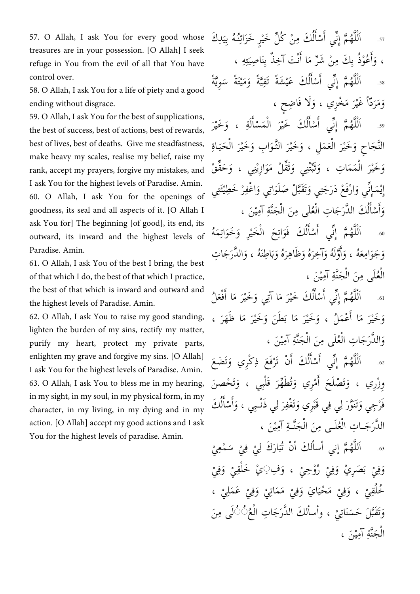57. O Allah, I ask You for every good whose treasures are in your possession. [O Allah] I seek refuge in You from the evil of all that You have control over.

58. O Allah, I ask You for a life of piety and a good ending without disgrace.

ounce in the serve sence, sence in sence, sence in sence, since in , sence in , sence in , sence in , sence in<br>وَخَيْرَ الْمَمَاتِ ، وَثَبَّتْنِي وَثَقَّلْ مَوَازِيْنِي ، وَحَقَّقْ rank, accept my prayers, forgive my mist 59. O Allah, I ask You for the best of supplications, the best of success, best of actions, best of rewards, best of lives, best of deaths. Give me steadfastness, make heavy my scales, realise my belief, raise my I ask You for the highest levels of Paradise. Amin. 60. O Allah, I ask You for the openings of goodness, its seal and all aspects of it. [O Allah I ask You for] The beginning [of good], its end, its outward, its inward and the highest levels of Paradise. Amin.

61. O Allah, I ask You of the best I bring, the best of that which I do, the best of that which I practice, the best of that which is inward and outward and the highest levels of Paradise. Amin.

62. O Allah, I ask You to raise my good standing, lighten the burden of my sins, rectify my matter, purify my heart, protect my private parts, enlighten my grave and forgive my sins. [O Allah] I ask You for the highest levels of Paradise. Amin. 63. O Allah, I ask You to bless me in my hearing, in my sight, in my soul, in my physical form, in my character, in my living, in my dying and in my action. [O Allah] accept my good actions and I ask You for the highest levels of paradise. Amin.

ِد .17 َك ُه بِي ُنـ ر َخَزأئ ل َخي ْن كُ َك مِ ْسا ي أ م أ ِن ُه أَل  $\tilde{\mathbf{r}}$ ِ ْ لُ أ َ ة<br>نو نہ<br>ا ٌ<br>أ ل ْ ، وَأَعُوْذُ بِكَ مِنْ شَرٍّ مَا أَنْتَ آخِذٌ بِنَاصِيَتِهِ ، نْ اً ز أ أ َ ؚ<br>ؾ ت  $\frac{1}{2}$ ي .18 ًة ِوي َْتًة س َم ًة و َشًة َتقِ َك َعي ْسا ي أ م أ ِن ُه أَل ن<br>بہ  $\tilde{\cdot}$ ي ∕<br>∧ ستا<br>ش ن<br>يا ْ لُ أ َ ة<br>نو نہ<br>ا ٌ<br>أ ل ْ وَمَرَدٌّاً غَيْرَ مَخْزِي ، وَلَا فَاضِحٍ ، َ  $\tilde{\lambda}$ َ

.19 .<br>ز اَلْلَّهُمَّ إِنِّي أَسْأَلُكَ خَيْرَ الْمَسْأَلَةِ ، وَخَيْرَ َ أ ْ .<br>ز لُ أ أ :<br>نې ٌ<br>أ ل ْ النَّجَاحِ وَخَيْرَ الْعَمَلِ ، وَخَيْرَ الثَّوَابِ وَخَيْرَ الْحَيَاةِ ْ ا<br>ز َ َ َ َ ا<br>ما َ ن<br>نه  $\tilde{\mathbf{r}}$ ي ِ ة<br>م فية<br>من َ ة<br>م َث َ ž َ ْ َ َ إِيْمَإِنِّي وَارْفَعْ دَرَجَتِي وَتَقَبَّلْ صَلَوَاتِي وَاغْفِرْ خَطِيْئَتِي ْ َ َ َ أ َ بر<br>نہ وَأَسْأَلُكَ الدَّرَجَاتِ الْعُلَى مِنَ الْجَنَّةِ آمِيْنَ ، ي نة<br>خـ ْ ر<br>و لُ َ اً أ َ

.11 ِ أت َك َفو ْسا ي أ م أ ِن ُه َمُه أَل أت َخو ِر و َخي َح أل َ لُ أ أ بر<br>نو نہ<br>ا ٌ<br>أ ل ْ ِ<br>ئا َ َ ْ ْ وَجَوَامِعَهُ ، وَأَوَّلَهُ وَآخِرَهُ وَظَاهِرَهُ وَبَاطِنَهُ ، وَالدَّرَجَاتِ َ ا  $\frac{1}{2}$ ب َ َ َ لَ َّ م<br>أ أ َ َ الْعُلَى مِنَ الْجَنَّةِ آمِيْنَ ، ي ن<br>نه ْ ر<br>ح

<sub>61.</sub> اَلْلَّهُمَّ إِنِّي أَسْأَلُكَ خَيْرَ مَا آتِي وَخَيْرَ مَا أَفْعَلُ  $\tilde{\lambda}$ َ ر<br>م لُ أ َ ۔<br>نہ تة<br>أ ل ْ وَخَيْرَ مَا أَعْمَلُ ، وَخَيْرَ مَا بَطَنَ وَخَيْرَ مَا ظَهَرَ ،  $\tilde{\mathbf{e}}$  $\tilde{\lambda}$ َ اً ر<br>م َ  $\tilde{\lambda}$ َ وَالدَّرَجَاتِ الْعُلَى مِنَ الْجَنَّةِ آمِيْنَ ، ي نة<br>خـ ْ ر<br>ح َ

هَ. اَلْلَّهُمَّ إِنِّي أَسْأَلُكَ أَنْ تَرْفَعَ ذِكْرِي وَتَضَعَ َ ْ لُ أ َ ۔<br>نہ ٌ<br>ل ل ْ وِزْرِي ، وَتَصْلَحَ أُمْرِي وَتُطَهِّرَ قَلْبِي ، وَتَحْصنَ َت َ .<br>ز و<br>ت َ أ َ فَرْجِي وَتَنَوَّرَ لِي فِي قَبْرِي وَتَغْفِرَ لِي ذَنْـبِي ، وَأَسْأَلُكَ ل .<br>ز َ ە<br>: ل ا<br>ما نَّ َ لُ أ اً أ َ الدَّرَجَـاتِ الْعُلَـى مِنَ الْجَنَّـةِ آمِيْنَ ، ي ن<br>نہ ْ ُ

م .11 أ ني أ سا ل َك أ ْن تُ ُه أَلل َ ْمعِي ْ س ِي ف ِي َك ل ار نہ<br>ا تة<br>أ **ٔ** ْ ا<br>ما  $\tilde{\cdot}$ ب ە<br>: وَفِيْ بَصَرِيْ وَفِيْ رُوْحِيْ ، وَفِ۞ِيْ خَلْقِيْ وَفِيْ َ **ٔ** َ ْ ە<br>: َ ب ْ َ خُلُقِيْ ، وَفِيْ مَحْيَايَ وَفِيْ مَمَاتِيْ وَفِيْ عَمَلِيْ ، ْ **ٔ** َ **ٔ ٔ** َ ا  $\frac{1}{2}$ ْ َ **ٔ** وَتَقَبَّلَ حَسَنَاتِيْ ، وأسألكَ الدَّرَجَاتِ الْعُثُّ أَلَى مِنَ ْ ْ َ الْجَنَّةِ آمِيْنَ <mark>،</mark> ي نة<br>م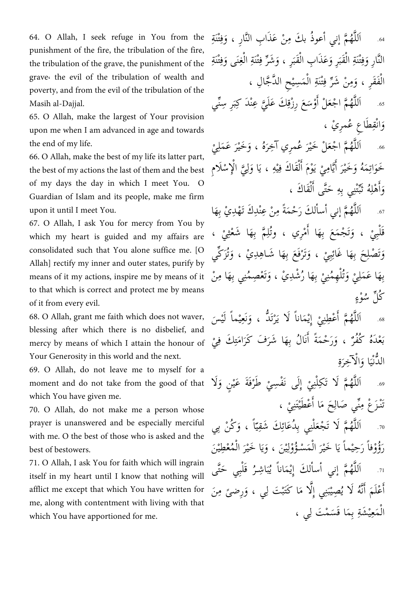64. O Allah, I seek refuge in You from the punishment of the fire, the tribulation of the fire, the tribulation of the grave, the punishment of the grave، the evil of the tribulation of wealth and poverty, and from the evil of the tribulation of the Masih al-Dajjal.

65. O Allah, make the largest of Your provision upon me when I am advanced in age and towards the end of my life.

66. O Allah, make the best of my life its latter part, the best of my actions the last of them and the best of my days the day in which I meet You. O Guardian of Islam and its people, make me firm upon it until I meet You.

67. O Allah, I ask You for mercy from You by which my heart is guided and my affairs are consolidated such that You alone suffice me. [O Allah] rectify my inner and outer states, purify by means of it my actions, inspire me by means of it to that which is correct and protect me by means of it from every evil.

68. O Allah, grant me faith which does not waver, blessing after which there is no disbelief, and mercy by means of which I attain the honour of Your Generosity in this world and the next.

69. O Allah, do not leave me to myself for a moment and do not take from the good of that which You have given me.

70. O Allah, do not make me a person whose prayer is unanswered and be especially merciful with me. O the best of those who is asked and the best of bestowers.

71. O Allah, I ask You for faith which will ingrain itself in my heart until I know that nothing will afflict me except that which You have written for me, along with contentment with living with that which You have apportioned for me.

ْتَنةِ .11 ف نارِ ، و ْن َعَذأ ِب ألَّ م أ ني أ عوُذ ب َك مِ ُه أَلل ِ َ نہ<br>ا ٌ<br>أ ْت ِ النَّارِ وَفِتْنَةِ الْقَبَرِ وَعَذَابِ الْقَبَرِ ، وَشَرِّ فِتْنَةِ الْغِنَى وَفِتْنَةِ َ ِ ز َ  $\frac{1}{2}$ ْ  $\frac{1}{2}$ ْ ِ َ الْفَقَرِ ، وَمِنْ شَرِّ فِتْنَةِ الْمَسِيْحِ الدَّجَّالِ ، ْ ِ بر<br>ز 63. اَللَّهُمَّ اجْعَلْ أَوْسَعَ رِزْقِكَ عَلَيَّ عِنْدَ كِبَرِ سِنِّي اً نہ<br>ا بر<br>م ٌ<br>ل  $\frac{1}{2}$ نة<br>با ِ<br>قا وَانْقِطَاعِ عُمرِيْ ، َ

.66 ۠<br>; اَللَّهُمَّ اجْعَلْ خَيْرَ عُمرِي آخِرَهُ ، وَخَيْرَ عَمَلِيْ ر<br>ز َ نہ<br>ا تة<br>ك خَوَاتِمَهُ وَخَيْرَ أَيَّامِيْ يَوْمَ أَلْقَاكَ فِيْهِ ، يَا وَلِيَّ الْإِسْلَامِ ە<br>! ِّبَّ<br>ب ل َ  $\frac{1}{2}$ ي ِ ْ ل َ ي **ٔ** نة<br>يا ن<br>يە أ أ ا<br>من َ ؚ<br>پ َ وَأَهْلِهُ ثَبَّتْنِي بِهِ حَتَّى أَلْقَاكَ ، ْ ل أ ž ِ أ

6. اَللَّهُمَّ إني أسألكَ رَحْمَةً مِنْ عِنْدِكَ تَهْدِيْ بِهَا ْن نه<br>م ٌ<br>ل قَلْبِيْ ، وَتَجْمَعَ بِهَا أَمْرِي ، وتُلِمَّ بِهَا شَعْثِيْ ، **ٔ** ٌ<br>ا ِ أ َت َ ْ وَتَصْلِحَ بِهَا غَائِبِيْ ، وَتَرْفَعَ بِهَا شَاهِدِيْ ، وَتُزَكِّي ْ َ ْ ِ<br>پُ ِ َ و<br>ت َ بِهَا عَمَلِيْ وَتُلْهِمُنِيْ بِهَا رُشْدِيْ ، وَتَعْصِمُنِي بِهَا مِنْ ْ َ بر<br>ر بِ ْ ڭلِّ سُوْءٍ

ه. اَللَّهُمَّ أَعْطِنِيْ إِيْمَاناً لَا يَرْتَدُّ ، وَنَعِيْماً لَيْسَ ْ ي ي َ نٽ<br>پ َت ْ ْ اً نه<br>م ٌ<br>ل **ٔ** مْدَهُ كُفُرٌ ، وَرَحْمَةً أَنَالُ بِهَا شَرَفَ كَرَامَتِكَ فِيْ ِ ت  $\tilde{\lambda}$ َ َ أ ب ِ الدُّنْيَا وَالْآخِرَةِ َ ْ َ  $\tilde{\mathbf{r}}$ 

لَ .19 أ ن و َفَة َعي َطر أ ِلَى نَ ْف ِسي ِي ِكلْ م لَأ َت ُه أَلل َ ْ ْ ْ **ٔ** بنبة نه<br>ا ٌ<br>ل تَنْزَعْ مِنِّي صَالِحَ مَا أَعْطَيْتَنِيْ ، بر<br>م ە<br>: اً ر<br>م ِ

ْن .71 بِي َ كُ اً ، و َك َشقِ ِي بِ ُدَعائ ْلن ْجع م لَأ َت ُه أَلل س<br>پ س<br>پيد ِ<br>پُ ُ<br>و نہ<br>ا ٌ<br>ل رَؤُوْفاً رَحِيْماً يَا خَيْرَ الْمَسْؤُوْلِيْنَ ، وَيَا خَيْرَ الْمُعْطِيْنَ ْ .<br>ز  $\frac{1}{2}$ ي َ ي اِ ْ .<br>ز  $\frac{1}{2}$  $\tilde{a}$ 7. أنبألكَ إِيْمَاناً يُبَاشِرُ قَلْبِي حَتَّى و<br>ز ا  $\frac{1}{2}$ ب و<br>يە نہ<br>ا ٌ<br>ل ر<br>يا أَعْلَمَ أَنَّهُ لَا يُصِيْبَنِي إِلَّا مَا كَتَبْتَ لِي ، وَرِضىً مِنَ نة<br>ف ن<br>ذ اً َ ً َ نة<br>كا بند  $\frac{1}{2}$ ب ْ الْمَعِيْشَةِ بِمَا قَسَمْتَ لِي ، بِ ٌ<br>م ي ْ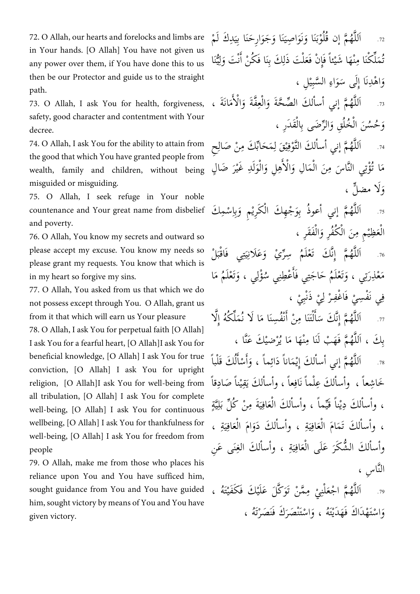72. O Allah, our hearts and forelocks and limbs are in Your hands. [O Allah] You have not given us any power over them, if You have done this to us then be our Protector and guide us to the straight path.

73. O Allah, I ask You for health, forgiveness, safety, good character and contentment with Your decree.

74. O Allah, I ask You for the ability to attain from the good that which You have granted people from wealth, family and children, without being misguided or misguiding.

75. O Allah, I seek refuge in Your noble countenance and Your great name from disbelief and poverty.

76. O Allah, You know my secrets and outward so please accept my excuse. You know my needs so please grant my requests. You know that which is in my heart so forgive my sins.

77. O Allah, You asked from us that which we do not possess except through You. O Allah, grant us from it that which will earn us Your pleasure

78. O Allah, I ask You for perpetual faith [O Allah] I ask You for a fearful heart, [O Allah]I ask You for beneficial knowledge, [O Allah] I ask You for true conviction, [O Allah] I ask You for upright religion, [O Allah]I ask You for well-being from all tribulation, [O Allah] I ask You for complete well-being, [O Allah] I ask You for continuous wellbeing, [O Allah] I ask You for thankfulness for well-being, [O Allah] I ask You for freedom from people

79. O Allah, make me from those who places his reliance upon You and You have sufficed him, sought guidance from You and You have guided him, sought victory by means of You and You have given victory.

72. اَللَّهُمَّ إن قُلُوْبَنَا وَنَوَاصِيَنَا وَجَوَارِحَنَا بِيَدِكَ لَمْ  $\frac{1}{2}$ َ  $\tilde{\mathbf{r}}$ أ َ َ نہ<br>ا ٌ<br>أ مَلِّكْنَا مِنْهَا شَيْئاً فَإِنْ فَعَلْتَ ذَلِكَ بِنَا فَكُنْ أَنْتَ وَلِيُّنَا ي<br>يا ِ ل َ نْ اً ِ لْ ٌ<br>ہ ْ ْن و<br>تُ وَاهْدِنَا إِلَى سَوَاءِ السَّبِيْلِ ، َ َ  $\tilde{\cdot}$ 

73. اَللَّهُمَّ إني أسألكَ الصِّحَّةَ وَالْعِفَّةَ وَالْأَمَانَةَ ، ر<br>م م<br>ا ْ َ ن<br>غ َ نة<br>ح ;<br>≁ نہ<br>ا ٌ<br>ل وَحُسُنَ الْخُلُقِ وَالرِّضَى بِالْقَدَرِ ، ْ َ ْ

74. اَللَّهُمَّ إني أسألكَ التَّوْفِيْقَ لِمَحَابِّكَ مِنْ صَالِحِ ِ بر<br>ڊ ِ ي ِ تة<br>تذ نہ<br>ا تة<br>ك مَا تُؤْتِي النَّاسَ مِنَ الْمَالِ وَالْأَهِلِ وَالْوَلَدِ غَيْرَ ضَالٍ َ َ م<br>ا ة<br>إ َ ْ ي ٍّل ، لَأ مض و َ

75. اَللَّهُمَّ إني أعوذُ بِوَجْهِكَ الْكَرِيْمِ وَبِإِسْمِكَ نه<br>م بِ ٌ<br>ل َ ِ ا الْعَظِيْمِ مِنَ الْكُفُرِ وَالْفَقَرِ ، ْ َ ُ<br>ء

76. اَللَّهُمَّ إِنَّكَ تَعْلَمُ سِرِّيْ وَعَلَانِيَتِي فَاقْبَلْ  $\tilde{\cdot}$ بة  $\tilde{\mathbf{r}}$ ي ِ<br>ئا نہ<br>ا تة<br>أ مَعْلِرَتِي ، وَتَعْلَمُ حَاجَتِي فَأَعْطِنِي سُؤْلِي ، وَتَعْلَمُ مَا َت َ ر<br>پ أ َت َ تہ<br>ٍ<br>∽ فِي نَفْسِيْ فَاغْفِرْ لِيْ ذَنْبِيْ ، ل ْ

**ٔ ٔ** ْ 77. اَللَّهُمَّ إِنَّكَ سَأَلْتَنَا مِنْ أَنْفُسِنَا مَا لَا نُمَلِّكُهُ إِلَّا ن<br>لا  $\tilde{\lambda}$ َ ْ ل أ اَ  $\tilde{\cdot}$ نه<br>م ٌ<br>ل

بِكَ ، اَللَّهُمَّ فَهَبْ لَنَا مِنْهَا مَا يُرْضيْكَ عَنَّا ، نة<br>م ْ َ ْن نہ<br>ا ت<br>ل َك َقْل .78 باً ْسا ِماً ، و َدأئ ْ َماناً م أ ني أ سا ل َك أ ِي ُه أَلل لُ أ اً أ َ نه<br>م ٌ<br>ل خَاشِعاً ، وأسألكَ عِلْماً نَافِعاً ، وأسألكَ يَقِيْناً صَادِقاً **ّ** ي ِ تة<br>≈ ي ِ ل  $\tilde{\mathbf{a}}$ ، وأسألكَ دِيْناً قَيِّماً ، وأسألكَ الْعَافِيَةَ مِنْ كُلِّ بَ  $\tilde{\mathbf{r}}$ ي ِ ُ<br>ء ي ، وأسألكَ تَمَامَ الْعَافِيَةِ ، وأسألكَ دَوَامَ الْعَافِيَةِ ،  $\frac{1}{2}$ ي ِ ๎๎๎๎๎๎๎๎๎๎๎๎ أ َ  $\tilde{\mathbf{r}}$ ي ِ ُ<br>ہ وأسألكَ الشُّكَرَ عَلَى الْعَافِيَةِ ، وأسألكَ الغِنَى عَنِ  $\frac{1}{2}$ ي ِ َءُ َ النَّاسِ ،

ُه .79 ، َك َف َكَفي َل َعَلي َكَّ َّم ْن َتو مِ ِي ْلن ْجع م أ ُه أَلل  $\frac{1}{2}$ **ٔ** ْ َ<br>ہ نه<br>ا ٌ<br>ل وَاسْتَهْدَاكَ فَهَدَيْتَهُ ، وَاسْتَنْصَرَكَ فَنَصَرْتَهُ ، َت ْ ا<br>م أ َ ر<br>بند أ َ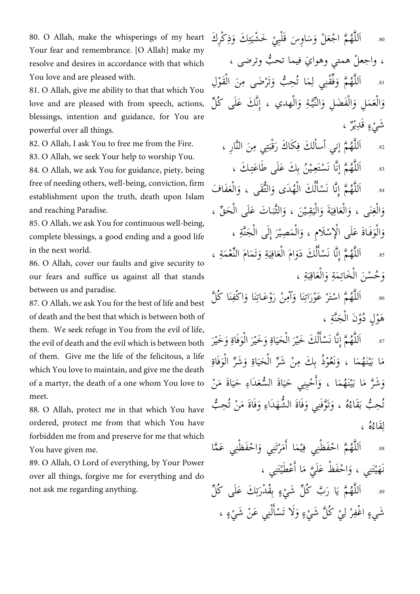80. O Allah, make the whisperings of my heart Your fear and remembrance. [O Allah] make my resolve and desires in accordance with that which You love and are pleased with.

81. O Allah, give me ability to that that which You love and are pleased with from speech, actions, blessings, intention and guidance, for You are powerful over all things.

82. O Allah, I ask You to free me from the Fire.

83. O Allah, we seek Your help to worship You.

84. O Allah, we ask You for guidance, piety, being free of needing others, well-being, conviction, firm establishment upon the truth, death upon Islam and reaching Paradise.

85. O Allah, we ask You for continuous well-being, complete blessings, a good ending and a good life in the next world.

86. O Allah, cover our faults and give security to our fears and suffice us against all that stands between us and paradise.

87. O Allah, we ask You for the best of life and best of death and the best that which is between both of them. We seek refuge in You from the evil of life, the evil of death and the evil which is between both of them. Give me the life of the felicitous, a life which You love to maintain, and give me the death of a martyr, the death of a one whom You love to meet.

88. O Allah, protect me in that which You have ordered, protect me from that which You have forbidden me from and preserve for me that which You have given me.

89. O Allah, O Lord of everything, by Your Power over all things, forgive me for everything and do not ask me regarding anything.

80. اَللَّهُمَّ اجْعَلْ وَسَاوِسَ قَلْبِيْ خَشْيَتِكَ وَذِكْرِكَ ِ ت  $\frac{1}{2}$ **ٔ**  $\tilde{\cdot}$ نہ<br>ا ٌ<br>أ ، واجعلْ همتي وهوايَ فيما تحبُّ وترضى ، ن<br>ب .81 َ اَللَّهُمَّ وَفِّقْنِي لِمَا تُحِبُّ وَتَرْضَى مِنَ الْقَوْلِ ن<br>أ ة<br>ل ْ َ ن<br>ب ِ َ وَالْعَمَلِ وَالْفَضَلِ وَالنِّيَّةِ وَالْهدي ، إِنَّكَ عَلَى كُلِّ ِسَة<br>م َ ْ َ شَيْءٍ قَل<sub>ِ</sub>يْرٌ ، وہ<br>مر

82. أللَّهُمَّ إني أسألكَ فِكَاكَ رَقْبَتِي مِنَ النَّارِ ، بة  $\tilde{\cdot}$ ا<br>ما ِ نہ<br>ا تو<br>ا نَّ<br>ز م .81 أ ن َّ ـ َك ، ُه أَلل ْ ُن بِ َك َعلَى َطا َعت ـي ْسَتعِ ا نَ نه<br>م ِ ة<br>ل لُ .81 أَلل ْسا ا نَ أ ِنم َ ُه ْع أل تَقى ، و ألُّ ُهَدى و َك أل َفا َف ْ أ ن<br>ن نہ<br>ا َ َ وَالْغِنَى ، وَالْعَافِيَةَ وَالْيَقِيْنَ ، وَالثَّبَاتَ عَلَى الْحَقِّ ، ج<br>م ْ  $\tilde{\cdot}$ ب نة<br>قنا ي ْ َ  $\frac{1}{2}$ ي ِ ُ<br>ءَ َ َ وَالْوَفَاةَ عَلَى الْإِسْلَامِ ، وَالْمَصِيْرَ إِلَى الْجَنَّةِ ، نة<br>ت ْ َ ْ َ ْ َ َ .85 َ اَللَّهُمَّ إِنَّا نَسْأَلُكَ دَوَامَ الْعَافِيَةِ وَتَمَامَ النِّعْمَةِ ،  $\tilde{\mathbf{r}}$ ي ِ َ<br>ہ أ َ لُ َ نا<br>ف نہ<br>ا تة<br>أ ن َت

وَحُسْنَ الْخَاتِمَةِ وَالْعَاقِبَةِ ،  $\frac{1}{2}$ ب ِ َمُ َ ِ<br>ئا ْ

َّل .81 َنا كُ أ ْكفِ َنا و َ ْوَعـات ْن ر أ مِ َنا و أت ْ َعْور ْسَتر م أ ُه أَلل َ ِ<br>ئا َ ِ<br>ئ َ نہ<br>ا تة<br>أ هَوْلٍ دُوْنَ الْجَنَّةِ ، نة<br>م ْ

.87 .<br>ز اَللَّهُمَّ إِنَّا نَسْأَلُكَ خَيْرَ الْحَيَاةِ وَخَيْرَ الْوَفَاةِ وَخَيْرَ َ : َ ا<br>من َ :  $\tilde{\mathbf{r}}$ ْ َ و<br>ل َ نَّ<br>ن ٌ<br>ل مَا بَيْنَهُمَا ، وَنَعُوْذُ بِكَ مِنْ شَرِّ الْحَيَاةِ وَشَرِّ الْوَفَاةِ َْن ي ر<br>ڊ ر<br>م <u>بُ</u> َ ر َ <u>بُ</u>  $\tilde{\mathbf{r}}$ ْ ر َ وَشَرَّ مَا بَيْنَهُمَا ، وَأَحْيِنِي حَيَاةَ السُّعَدَاءِ حَيَاةَ مَنْ  $\frac{1}{2}$ ُ<br>ء  $\frac{1}{2}$ اً أ َ َْن ي  $\frac{1}{2}$ ر<br>م ن<br>ز َ حِبُّ بَقَاءُهُ ، وَتَوَّفَنِي وَفَاةَ الشُّهَدَاءِ وَفَاةَ مَنْ تُحِبُّ ن<br>ب َ َ نَّہُ م َ  $\tilde{\mathbf{e}}$ ن<br>ب و<br>تُ ُُه ، َقاء اِ ل

.88 ْ اَللَّهُمَّ احْفَظْنِي فِيْمَا أَمَرْتَنِي وَاحْفَظْنِي عَمَّ أ ي ِ<br>ف نہ<br>ا ا تة<br>أ أ َ هَيْتَنِي ، وَاحْفَظْ عَلَيَّ مَا أَعْطَيْتَنِي ، اً  $\tilde{\lambda}$ نا<br>پا أ َ نَ

 ل ِ .89 َك َعلَى كُ بُِق ْدر ء ل َشي ب كُ َّ َ ا ر م ي ُه أَلل تذ<br>≺ ْ  $\frac{1}{2}$ نه<br>ا ٌ<br>ل شَيءٍ اغْفِرْ لِيْ كُلَّ شَيْءٍ وَلَا تَسْأَلْنِي عَنْ شَيْءٍ ، ە<br>: بن ْ ل أ َ ە<br>: ل ْ